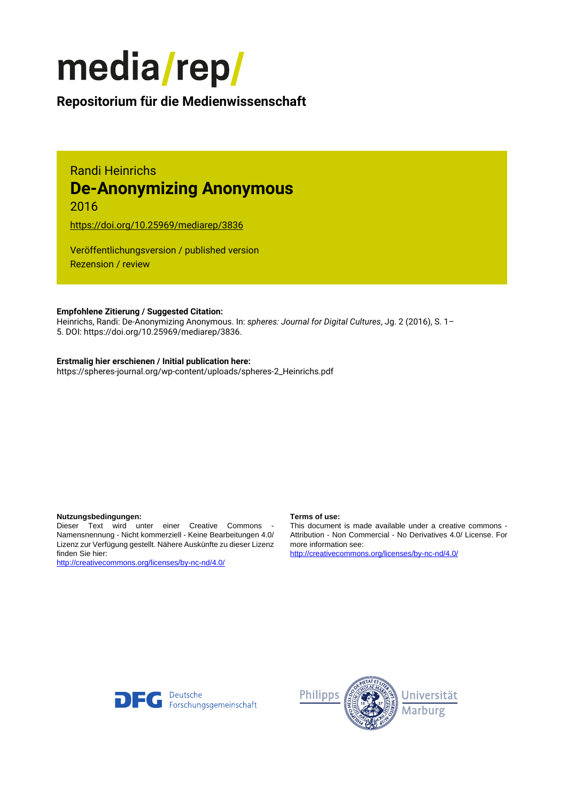

# **Repositorium für die [Medienwissenschaft](https://mediarep.org)**

# Randi Heinrichs **De-Anonymizing Anonymous** 2016

<https://doi.org/10.25969/mediarep/3836>

Veröffentlichungsversion / published version Rezension / review

### **Empfohlene Zitierung / Suggested Citation:**

Heinrichs, Randi: De-Anonymizing Anonymous. In: *spheres: Journal for Digital Cultures*, Jg. 2 (2016), S. 1– 5. DOI: https://doi.org/10.25969/mediarep/3836.

### **Erstmalig hier erschienen / Initial publication here:**

https://spheres-journal.org/wp-content/uploads/spheres-2\_Heinrichs.pdf

#### **Nutzungsbedingungen: Terms of use:**

Dieser Text wird unter einer Creative Commons - Namensnennung - Nicht kommerziell - Keine Bearbeitungen 4.0/ Lizenz zur Verfügung gestellt. Nähere Auskünfte zu dieser Lizenz finden Sie hier:

<http://creativecommons.org/licenses/by-nc-nd/4.0/>

This document is made available under a creative commons - Attribution - Non Commercial - No Derivatives 4.0/ License. For more information see:

<http://creativecommons.org/licenses/by-nc-nd/4.0/>



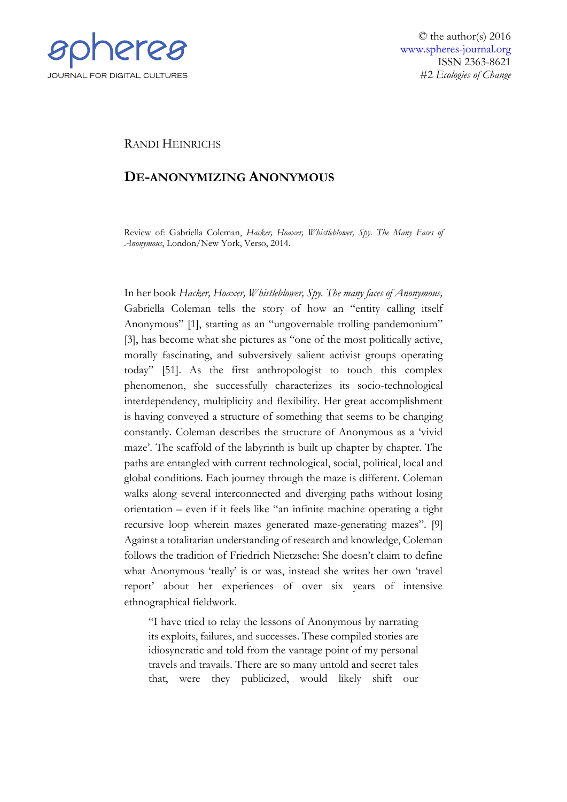

## RANDI HEINRICHS

## **DE-ANONYMIZING ANONYMOUS**

Review of: Gabriella Coleman, *Hacker, Hoaxer, Whistleblower, Spy. The Many Faces of Anonymous*, London/New York, Verso, 2014.

In her book *Hacker, Hoaxer, Whistleblower, Spy. The many faces of Anonymous,*  Gabriella Coleman tells the story of how an "entity calling itself Anonymous" [1], starting as an "ungovernable trolling pandemonium" [3], has become what she pictures as "one of the most politically active, morally fascinating, and subversively salient activist groups operating today" [51]. As the first anthropologist to touch this complex phenomenon, she successfully characterizes its socio-technological interdependency, multiplicity and flexibility. Her great accomplishment is having conveyed a structure of something that seems to be changing constantly. Coleman describes the structure of Anonymous as a 'vivid maze'. The scaffold of the labyrinth is built up chapter by chapter. The paths are entangled with current technological, social, political, local and global conditions. Each journey through the maze is different. Coleman walks along several interconnected and diverging paths without losing orientation – even if it feels like "an infinite machine operating a tight recursive loop wherein mazes generated maze-generating mazes". [9] Against a totalitarian understanding of research and knowledge, Coleman follows the tradition of Friedrich Nietzsche: She doesn't claim to define what Anonymous 'really' is or was, instead she writes her own 'travel report' about her experiences of over six years of intensive ethnographical fieldwork.

"I have tried to relay the lessons of Anonymous by narrating its exploits, failures, and successes. These compiled stories are idiosyncratic and told from the vantage point of my personal travels and travails. There are so many untold and secret tales that, were they publicized, would likely shift our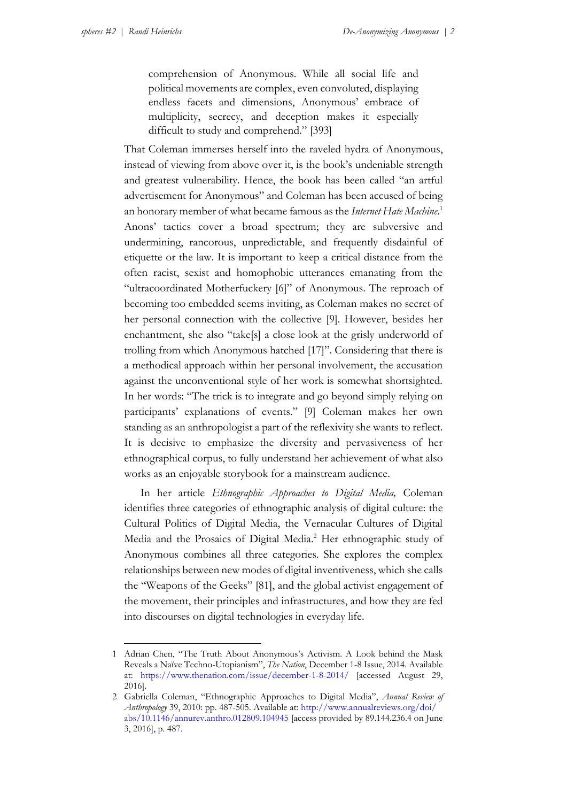1

comprehension of Anonymous. While all social life and political movements are complex, even convoluted, displaying endless facets and dimensions, Anonymous' embrace of multiplicity, secrecy, and deception makes it especially difficult to study and comprehend." [393]

That Coleman immerses herself into the raveled hydra of Anonymous, instead of viewing from above over it, is the book's undeniable strength and greatest vulnerability. Hence, the book has been called "an artful advertisement for Anonymous" and Coleman has been accused of being an honorary member of what became famous as the *Internet Hate Machine*. 1 Anons' tactics cover a broad spectrum; they are subversive and undermining, rancorous, unpredictable, and frequently disdainful of etiquette or the law. It is important to keep a critical distance from the often racist, sexist and homophobic utterances emanating from the "ultracoordinated Motherfuckery [6]" of Anonymous. The reproach of becoming too embedded seems inviting, as Coleman makes no secret of her personal connection with the collective [9]. However, besides her enchantment, she also "take[s] a close look at the grisly underworld of trolling from which Anonymous hatched [17]". Considering that there is a methodical approach within her personal involvement, the accusation against the unconventional style of her work is somewhat shortsighted. In her words: "The trick is to integrate and go beyond simply relying on participants' explanations of events." [9] Coleman makes her own standing as an anthropologist a part of the reflexivity she wants to reflect. It is decisive to emphasize the diversity and pervasiveness of her ethnographical corpus, to fully understand her achievement of what also works as an enjoyable storybook for a mainstream audience.

In her article *Ethnographic Approaches to Digital Media,* Coleman identifies three categories of ethnographic analysis of digital culture: the Cultural Politics of Digital Media, the Vernacular Cultures of Digital Media and the Prosaics of Digital Media.<sup>2</sup> Her ethnographic study of Anonymous combines all three categories. She explores the complex relationships between new modes of digital inventiveness, which she calls the "Weapons of the Geeks" [81], and the global activist engagement of the movement, their principles and infrastructures, and how they are fed into discourses on digital technologies in everyday life.

<sup>1</sup> Adrian Chen, "The Truth About Anonymous's Activism. A Look behind the Mask Reveals a Naïve Techno-Utopianism", *The Nation*, December 1-8 Issue, 2014. Available at: <https://www.thenation.com/issue/december-1-8-2014/> [accessed August 29, 2016].

<sup>2</sup> Gabriella Coleman, "Ethnographic Approaches to Digital Media", *Annual Review of Anthropology* 39, 2010: pp. 487-505. Available at: [http://www.annualreviews.org/doi/](http://www.annualreviews.org/doi/abs/10.1146/annurev.anthro.012809.104945) [abs/10.1146/annurev.anthro.012809.104945](http://www.annualreviews.org/doi/abs/10.1146/annurev.anthro.012809.104945) [access provided by 89.144.236.4 on June 3, 2016], p. 487.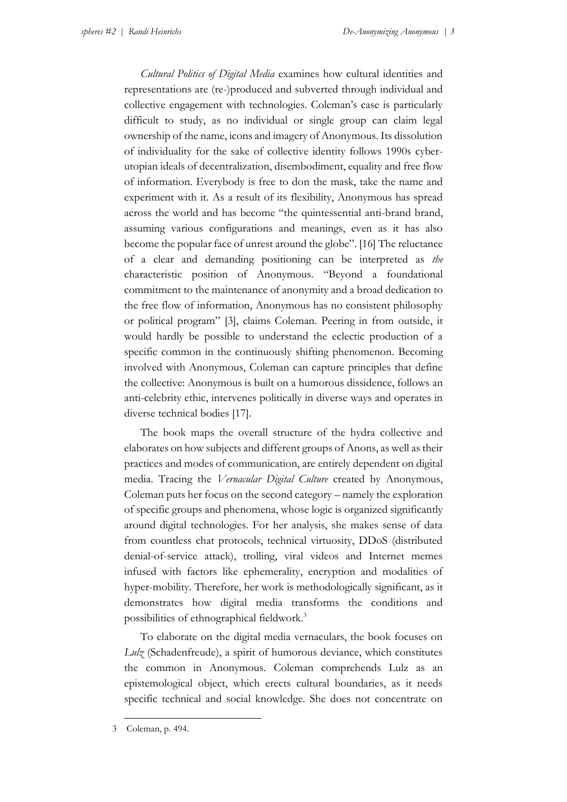*Cultural Politics of Digital Media* examines how cultural identities and representations are (re-)produced and subverted through individual and collective engagement with technologies. Coleman's case is particularly difficult to study, as no individual or single group can claim legal ownership of the name, icons and imagery of Anonymous. Its dissolution of individuality for the sake of collective identity follows 1990s cyberutopian ideals of decentralization, disembodiment, equality and free flow of information. Everybody is free to don the mask, take the name and experiment with it. As a result of its flexibility, Anonymous has spread across the world and has become "the quintessential anti-brand brand, assuming various configurations and meanings, even as it has also become the popular face of unrest around the globe". [16] The reluctance of a clear and demanding positioning can be interpreted as *the* characteristic position of Anonymous. "Beyond a foundational commitment to the maintenance of anonymity and a broad dedication to the free flow of information, Anonymous has no consistent philosophy or political program" [3], claims Coleman. Peering in from outside, it would hardly be possible to understand the eclectic production of a specific common in the continuously shifting phenomenon. Becoming involved with Anonymous, Coleman can capture principles that define the collective: Anonymous is built on a humorous dissidence, follows an anti-celebrity ethic, intervenes politically in diverse ways and operates in diverse technical bodies [17].

The book maps the overall structure of the hydra collective and elaborates on how subjects and different groups of Anons, as well as their practices and modes of communication, are entirely dependent on digital media. Tracing the *Vernacular Digital Culture* created by Anonymous, Coleman puts her focus on the second category – namely the exploration of specific groups and phenomena, whose logic is organized significantly around digital technologies. For her analysis, she makes sense of data from countless chat protocols, technical virtuosity, DDoS (distributed denial-of-service attack), trolling, viral videos and Internet memes infused with factors like ephemerality, encryption and modalities of hyper-mobility. Therefore, her work is methodologically significant, as it demonstrates how digital media transforms the conditions and possibilities of ethnographical fieldwork.<sup>3</sup>

To elaborate on the digital media vernaculars, the book focuses on *Lulz* (Schadenfreude), a spirit of humorous deviance, which constitutes the common in Anonymous. Coleman comprehends Lulz as an epistemological object, which erects cultural boundaries, as it needs specific technical and social knowledge. She does not concentrate on

1

<sup>3</sup> Coleman, p. 494.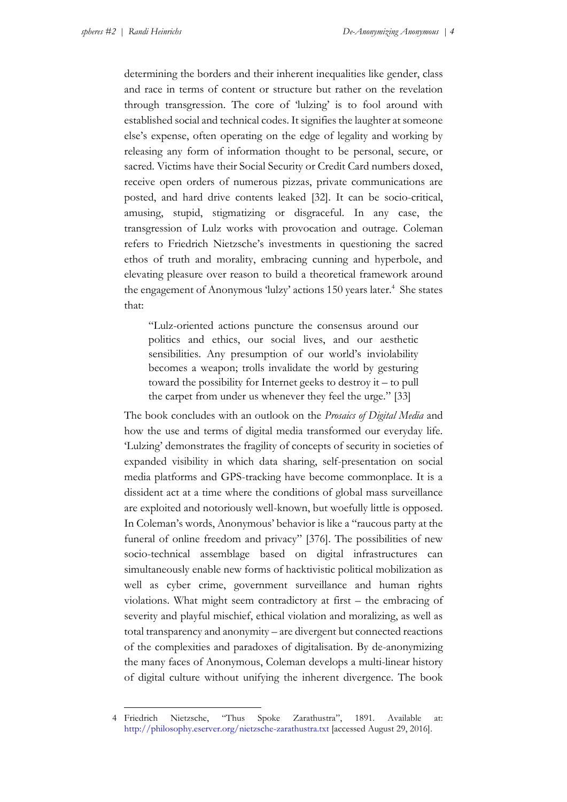<u>.</u>

determining the borders and their inherent inequalities like gender, class and race in terms of content or structure but rather on the revelation through transgression. The core of 'lulzing' is to fool around with established social and technical codes. It signifies the laughter at someone else's expense, often operating on the edge of legality and working by releasing any form of information thought to be personal, secure, or sacred. Victims have their Social Security or Credit Card numbers doxed, receive open orders of numerous pizzas, private communications are posted, and hard drive contents leaked [32]. It can be socio-critical, amusing, stupid, stigmatizing or disgraceful. In any case, the transgression of Lulz works with provocation and outrage. Coleman refers to Friedrich Nietzsche's investments in questioning the sacred ethos of truth and morality, embracing cunning and hyperbole, and elevating pleasure over reason to build a theoretical framework around the engagement of Anonymous 'lulzy' actions 150 years later.<sup>4</sup> She states that:

"Lulz-oriented actions puncture the consensus around our politics and ethics, our social lives, and our aesthetic sensibilities. Any presumption of our world's inviolability becomes a weapon; trolls invalidate the world by gesturing toward the possibility for Internet geeks to destroy it – to pull the carpet from under us whenever they feel the urge." [33]

The book concludes with an outlook on the *Prosaics of Digital Media* and how the use and terms of digital media transformed our everyday life. 'Lulzing' demonstrates the fragility of concepts of security in societies of expanded visibility in which data sharing, self-presentation on social media platforms and GPS-tracking have become commonplace. It is a dissident act at a time where the conditions of global mass surveillance are exploited and notoriously well-known, but woefully little is opposed. In Coleman's words, Anonymous' behavior is like a "raucous party at the funeral of online freedom and privacy" [376]. The possibilities of new socio-technical assemblage based on digital infrastructures can simultaneously enable new forms of hacktivistic political mobilization as well as cyber crime, government surveillance and human rights violations. What might seem contradictory at first – the embracing of severity and playful mischief, ethical violation and moralizing, as well as total transparency and anonymity – are divergent but connected reactions of the complexities and paradoxes of digitalisation. By de-anonymizing the many faces of Anonymous, Coleman develops a multi-linear history of digital culture without unifying the inherent divergence. The book

<sup>4</sup> Friedrich Nietzsche, "Thus Spoke Zarathustra", 1891. Available at: <http://philosophy.eserver.org/nietzsche-zarathustra.txt> [accessed August 29, 2016].